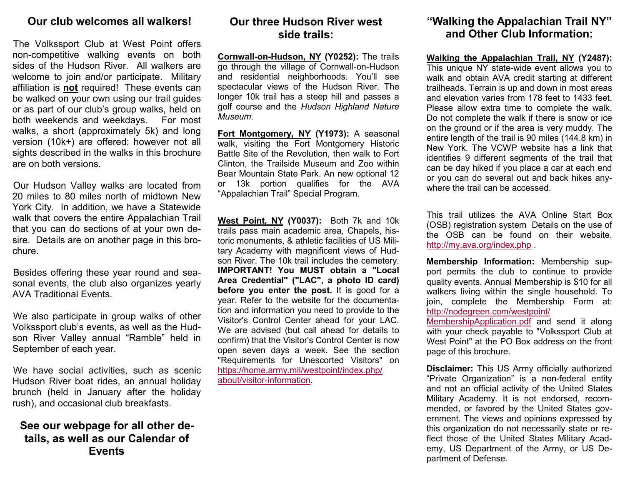### Our club welcomes all walkers!

The Volkssport Club at West Point offers non-competitive walking events on both sides of the Hudson River. All walkers are welcome to join and/or participate. Military affiliation is **not** required! These events can be walked on your own using our trail guides or as part of our club's group walks, held on both weekends and weekdays. For most walks, a short (approximately 5k) and long version (10k+) are offered; however not all sights described in the walks in this brochure are on both versions.

Our Hudson Valley walks are located from 20 miles to 80 miles north of midtown New York City. In addition, we have a Statewide walk that covers the entire Appalachian Trail that you can do sections of at your own desire. Details are on another page in this brochure.

Besides offering these year round and seasonal events, the club also organizes yearly AVA Traditional Events.

We also participate in group walks of other Volkssport club's events, as well as the Hudson River Valley annual "Ramble" held in September of each year.

We have social activities, such as scenic Hudson River boat rides, an annual holiday brunch (held in January after the holiday rush), and occasional club breakfasts.

See our webpage for all other details, as well as our Calendar of Events

## Our three Hudson River west side trails:

Cornwall-on-Hudson, NY (Y0252): The trails go through the village of Cornwall-on-Hudson and residential neighborhoods. You'll see spectacular views of the Hudson River. The longer 10k trail has a steep hill and passes a golf course and the Hudson Highland Nature Museum.

Fort Montgomery, NY (Y1973): A seasonal walk, visiting the Fort Montgomery Historic Battle Site of the Revolution, then walk to Fort Clinton, the Trailside Museum and Zoo within Bear Mountain State Park. An new optional 12 or 13k portion qualifies for the AVA "Appalachian Trail" Special Program.

West Point, NY (Y0037): Both 7k and 10k trails pass main academic area, Chapels, historic monuments, & athletic facilities of US Military Academy with magnificent views of Hudson River. The 10k trail includes the cemetery. IMPORTANT! You MUST obtain a "Local Area Credential" ("LAC", a photo ID card) before you enter the post. It is good for a year. Refer to the website for the documentation and information you need to provide to the Visitor's Control Center ahead for your LAC. We are advised (but call ahead for details to confirm) that the Visitor's Control Center is now open seven days a week. See the section "Requirements for Unescorted Visitors" on https://home.army.mil/westpoint/index.php/about/visitor-information.

## "Walking the Appalachian Trail NY" and Other Club Information:

Walking the Appalachian Trail, NY (Y2487):

 This unique NY state-wide event allows you to walk and obtain AVA credit starting at different trailheads. Terrain is up and down in most areas and elevation varies from 178 feet to 1433 feet. Please allow extra time to complete the walk. Do not complete the walk if there is snow or ice on the ground or if the area is very muddy. The entire length of the trail is 90 miles (144.8 km) in New York. The VCWP website has a link that identifies 9 different segments of the trail that can be day hiked if you place a car at each end or you can do several out and back hikes anywhere the trail can be accessed.

This trail utilizes the AVA Online Start Box (OSB) registration system Details on the use of the OSB can be found on their website. http://my.ava.org/index.php .

Membership Information: Membership support permits the club to continue to provide quality events. Annual Membership is \$10 for all walkers living within the single household. To join, complete the Membership Form at: http://nodegreen.com/westpoint/

MembershipApplication.pdf and send it along with your check payable to "Volkssport Club at West Point" at the PO Box address on the front page of this brochure.

Disclaimer: This US Army officially authorized "Private Organization" is a non-federal entity and not an official activity of the United States Military Academy. It is not endorsed, recommended, or favored by the United States government. The views and opinions expressed by this organization do not necessarily state or reflect those of the United States Military Academy, US Department of the Army, or US Department of Defense.